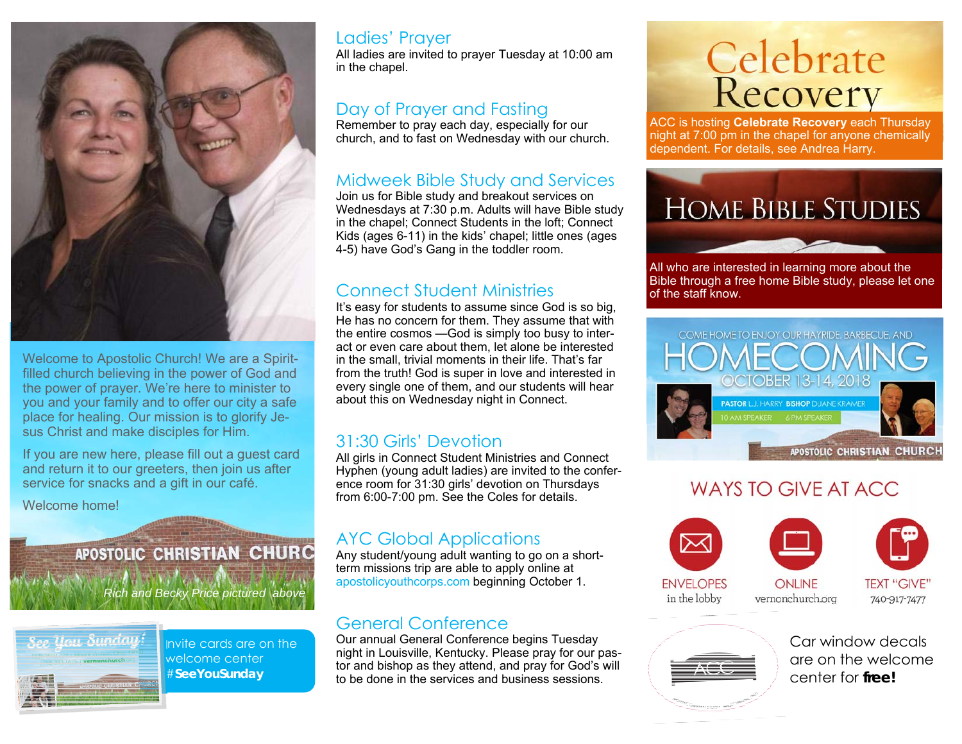

Welcome to Apostolic Church! We are a Spiritfilled church believing in the power of God and the power of prayer. We're here to minister to you and your family and to offer our city a safe place for healing. Our mission is to glorify Jesus Christ and make disciples for Him.

If you are new here, please fill out a guest card and return it to our greeters, then join us after service for snacks and a gift in our café.

Welcome home!

# **APOSTOLIC CHRISTIAN CHURC**

*Rich and Becky Price pictured above* 



Invite cards are on the welcome center #**SeeYouSunday** 

#### Ladies' Prayer

All ladies are invited to prayer Tuesday at 10:00 am in the chapel.

#### Day of Prayer and Fasting

Remember to pray each day, especially for our church, and to fast on Wednesday with our church.

#### Midweek Bible Study and Services

Join us for Bible study and breakout services on Wednesdays at 7:30 p.m. Adults will have Bible study in the chapel; Connect Students in the loft; Connect Kids (ages 6-11) in the kids' chapel; little ones (ages 4-5) have God's Gang in the toddler room.

# Connect Student Ministries

It's easy for students to assume since God is so big, He has no concern for them. They assume that with the entire cosmos —God is simply too busy to interact or even care about them, let alone be interested in the small, trivial moments in their life. That's far from the truth! God is super in love and interested in every single one of them, and our students will hear about this on Wednesday night in Connect.

# 31:30 Girls' Devotion

All girls in Connect Student Ministries and Connect Hyphen (young adult ladies) are invited to the conference room for 31:30 girls' devotion on Thursdays from 6:00-7:00 pm. See the Coles for details.

# AYC Global Applications

Any student/young adult wanting to go on a shortterm missions trip are able to apply online at apostolicyouthcorps.com beginning October 1.

#### General Conference

Our annual General Conference begins Tuesday night in Louisville, Kentucky. Please pray for our pastor and bishop as they attend, and pray for God's will to be done in the services and business sessions.

# **Celebrate**<br>Recovery

ACC is hosting **Celebrate Recovery** each Thursday night at 7:00 pm in the chapel for anyone chemically dependent. For details, see Andrea Harry.



All who are interested in learning more about the Bible through a free home Bible study, please let one of the staff know.



# WAYS TO GIVE AT ACC.







**ENVELOPES** in the lobby

**ONI INF** vernonchurch.org **TEXT "GIVE"** 740-917-7477



Car window decals are on the welcome center for **free!**